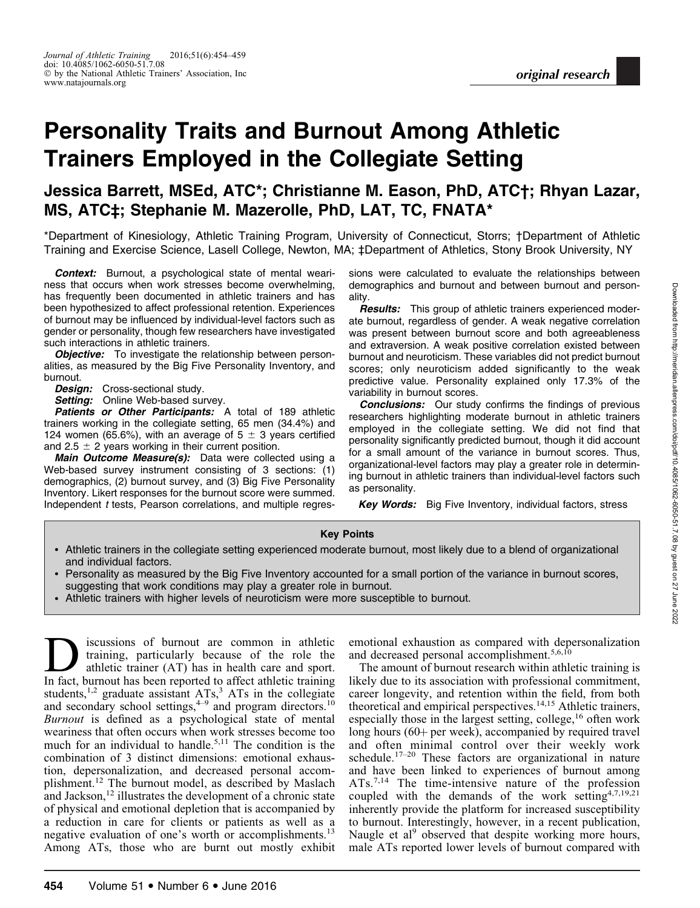# Personality Traits and Burnout Among Athletic Trainers Employed in the Collegiate Setting

## Jessica Barrett, MSEd, ATC\*; Christianne M. Eason, PhD, ATC†; Rhyan Lazar, MS, ATC‡; Stephanie M. Mazerolle, PhD, LAT, TC, FNATA\*

\*Department of Kinesiology, Athletic Training Program, University of Connecticut, Storrs; †Department of Athletic Training and Exercise Science, Lasell College, Newton, MA; ‡Department of Athletics, Stony Brook University, NY

Context: Burnout, a psychological state of mental weariness that occurs when work stresses become overwhelming, has frequently been documented in athletic trainers and has been hypothesized to affect professional retention. Experiences of burnout may be influenced by individual-level factors such as gender or personality, though few researchers have investigated such interactions in athletic trainers.

**Objective:** To investigate the relationship between personalities, as measured by the Big Five Personality Inventory, and burnout.

Design: Cross-sectional study.

Setting: Online Web-based survey.

Patients or Other Participants: A total of 189 athletic trainers working in the collegiate setting, 65 men (34.4%) and 124 women (65.6%), with an average of  $5 \pm 3$  years certified and 2.5  $\pm$  2 years working in their current position.

Main Outcome Measure(s): Data were collected using a Web-based survey instrument consisting of 3 sections: (1) demographics, (2) burnout survey, and (3) Big Five Personality Inventory. Likert responses for the burnout score were summed. Independent t tests, Pearson correlations, and multiple regressions were calculated to evaluate the relationships between demographics and burnout and between burnout and personality.

**Results:** This group of athletic trainers experienced moderate burnout, regardless of gender. A weak negative correlation was present between burnout score and both agreeableness and extraversion. A weak positive correlation existed between burnout and neuroticism. These variables did not predict burnout scores; only neuroticism added significantly to the weak predictive value. Personality explained only 17.3% of the variability in burnout scores.

**Conclusions:** Our study confirms the findings of previous researchers highlighting moderate burnout in athletic trainers employed in the collegiate setting. We did not find that personality significantly predicted burnout, though it did account for a small amount of the variance in burnout scores. Thus, organizational-level factors may play a greater role in determining burnout in athletic trainers than individual-level factors such as personality.

Key Words: Big Five Inventory, individual factors, stress

#### Key Points

- Athletic trainers in the collegiate setting experienced moderate burnout, most likely due to a blend of organizational and individual factors.
- Personality as measured by the Big Five Inventory accounted for a small portion of the variance in burnout scores, suggesting that work conditions may play a greater role in burnout.
- -Athletic trainers with higher levels of neuroticism were more susceptible to burnout.

**1** iscussions of burnout are common in athletic training, particularly because of the role the athletic trainer (AT) has in health care and sport.<br>In fact burnout has been reported to affect athletic training training, particularly because of the role the In fact, burnout has been reported to affect athletic training students,<sup>1,2</sup> graduate assistant  $ATs$ ,<sup>3</sup>  $ATs$  in the collegiate and secondary school settings, $4-9$  and program directors.<sup>10</sup> Burnout is defined as a psychological state of mental weariness that often occurs when work stresses become too much for an individual to handle.<sup>5,11</sup> The condition is the combination of 3 distinct dimensions: emotional exhaustion, depersonalization, and decreased personal accomplishment.12 The burnout model, as described by Maslach and Jackson, $12$  illustrates the development of a chronic state of physical and emotional depletion that is accompanied by a reduction in care for clients or patients as well as a negative evaluation of one's worth or accomplishments.<sup>13</sup> Among ATs, those who are burnt out mostly exhibit emotional exhaustion as compared with depersonalization and decreased personal accomplishment.<sup>5,6,10</sup>

The amount of burnout research within athletic training is likely due to its association with professional commitment, career longevity, and retention within the field, from both theoretical and empirical perspectives.<sup>14,15</sup> Athletic trainers, especially those in the largest setting, college,<sup>16</sup> often work long hours (60+ per week), accompanied by required travel and often minimal control over their weekly work schedule.<sup>17-20</sup> These factors are organizational in nature and have been linked to experiences of burnout among ATs.<sup>7,14</sup> The time-intensive nature of the profession coupled with the demands of the work setting  $4,7,19,21$ inherently provide the platform for increased susceptibility to burnout. Interestingly, however, in a recent publication, Naugle et al<sup>9</sup> observed that despite working more hours, male ATs reported lower levels of burnout compared with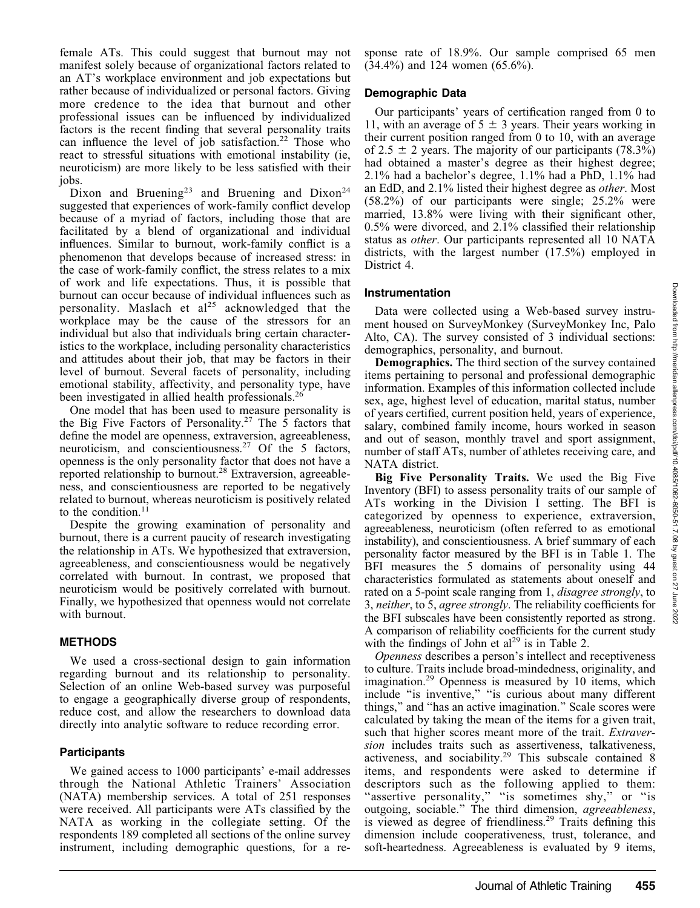27 June

female ATs. This could suggest that burnout may not manifest solely because of organizational factors related to an AT's workplace environment and job expectations but rather because of individualized or personal factors. Giving more credence to the idea that burnout and other professional issues can be influenced by individualized factors is the recent finding that several personality traits can influence the level of job satisfaction.<sup>22</sup> Those who react to stressful situations with emotional instability (ie, neuroticism) are more likely to be less satisfied with their jobs.

Dixon and Bruening<sup>23</sup> and Bruening and Dixon<sup>24</sup> suggested that experiences of work-family conflict develop because of a myriad of factors, including those that are facilitated by a blend of organizational and individual influences. Similar to burnout, work-family conflict is a phenomenon that develops because of increased stress: in the case of work-family conflict, the stress relates to a mix of work and life expectations. Thus, it is possible that burnout can occur because of individual influences such as personality. Maslach et al<sup>25</sup> acknowledged that the workplace may be the cause of the stressors for an individual but also that individuals bring certain characteristics to the workplace, including personality characteristics and attitudes about their job, that may be factors in their level of burnout. Several facets of personality, including emotional stability, affectivity, and personality type, have been investigated in allied health professionals.<sup>26</sup>

One model that has been used to measure personality is the Big Five Factors of Personality.<sup>27</sup> The  $\overline{5}$  factors that define the model are openness, extraversion, agreeableness, neuroticism, and conscientiousness.<sup>27</sup> Of the 5 factors, openness is the only personality factor that does not have a reported relationship to burnout.28 Extraversion, agreeableness, and conscientiousness are reported to be negatively related to burnout, whereas neuroticism is positively related to the condition. $11$ 

Despite the growing examination of personality and burnout, there is a current paucity of research investigating the relationship in ATs. We hypothesized that extraversion, agreeableness, and conscientiousness would be negatively correlated with burnout. In contrast, we proposed that neuroticism would be positively correlated with burnout. Finally, we hypothesized that openness would not correlate with burnout.

#### **METHODS**

We used a cross-sectional design to gain information regarding burnout and its relationship to personality. Selection of an online Web-based survey was purposeful to engage a geographically diverse group of respondents, reduce cost, and allow the researchers to download data directly into analytic software to reduce recording error.

#### Participants

We gained access to 1000 participants' e-mail addresses through the National Athletic Trainers' Association (NATA) membership services. A total of 251 responses were received. All participants were ATs classified by the NATA as working in the collegiate setting. Of the respondents 189 completed all sections of the online survey instrument, including demographic questions, for a response rate of 18.9%. Our sample comprised 65 men (34.4%) and 124 women (65.6%).

#### Demographic Data

Our participants' years of certification ranged from 0 to 11, with an average of  $5 \pm 3$  years. Their years working in their current position ranged from 0 to 10, with an average of 2.5  $\pm$  2 years. The majority of our participants (78.3%) had obtained a master's degree as their highest degree; 2.1% had a bachelor's degree, 1.1% had a PhD, 1.1% had an EdD, and 2.1% listed their highest degree as other. Most (58.2%) of our participants were single; 25.2% were married, 13.8% were living with their significant other, 0.5% were divorced, and 2.1% classified their relationship status as other. Our participants represented all 10 NATA districts, with the largest number (17.5%) employed in District 4.

#### Instrumentation

Data were collected using a Web-based survey instrument housed on SurveyMonkey (SurveyMonkey Inc, Palo Alto, CA). The survey consisted of 3 individual sections: demographics, personality, and burnout.

Demographics. The third section of the survey contained items pertaining to personal and professional demographic information. Examples of this information collected include sex, age, highest level of education, marital status, number of years certified, current position held, years of experience, salary, combined family income, hours worked in season and out of season, monthly travel and sport assignment, number of staff ATs, number of athletes receiving care, and NATA district.

Big Five Personality Traits. We used the Big Five Inventory (BFI) to assess personality traits of our sample of ATs working in the Division I setting. The BFI is categorized by openness to experience, extraversion, agreeableness, neuroticism (often referred to as emotional instability), and conscientiousness. A brief summary of each personality factor measured by the BFI is in Table 1. The BFI measures the 5 domains of personality using 44 characteristics formulated as statements about oneself and rated on a 5-point scale ranging from 1, *disagree strongly*, to 3, neither, to 5, agree strongly. The reliability coefficients for the BFI subscales have been consistently reported as strong. A comparison of reliability coefficients for the current study with the findings of John et  $al^{29}$  is in Table 2.

Openness describes a person's intellect and receptiveness to culture. Traits include broad-mindedness, originality, and imagination.29 Openness is measured by 10 items, which include ''is inventive,'' ''is curious about many different things,'' and ''has an active imagination.'' Scale scores were calculated by taking the mean of the items for a given trait, such that higher scores meant more of the trait. Extraversion includes traits such as assertiveness, talkativeness, activeness, and sociability.29 This subscale contained 8 items, and respondents were asked to determine if descriptors such as the following applied to them: "assertive personality," "is sometimes shy," or "is outgoing, sociable.'' The third dimension, agreeableness, is viewed as degree of friendliness.<sup>29</sup> Traits defining this dimension include cooperativeness, trust, tolerance, and soft-heartedness. Agreeableness is evaluated by 9 items,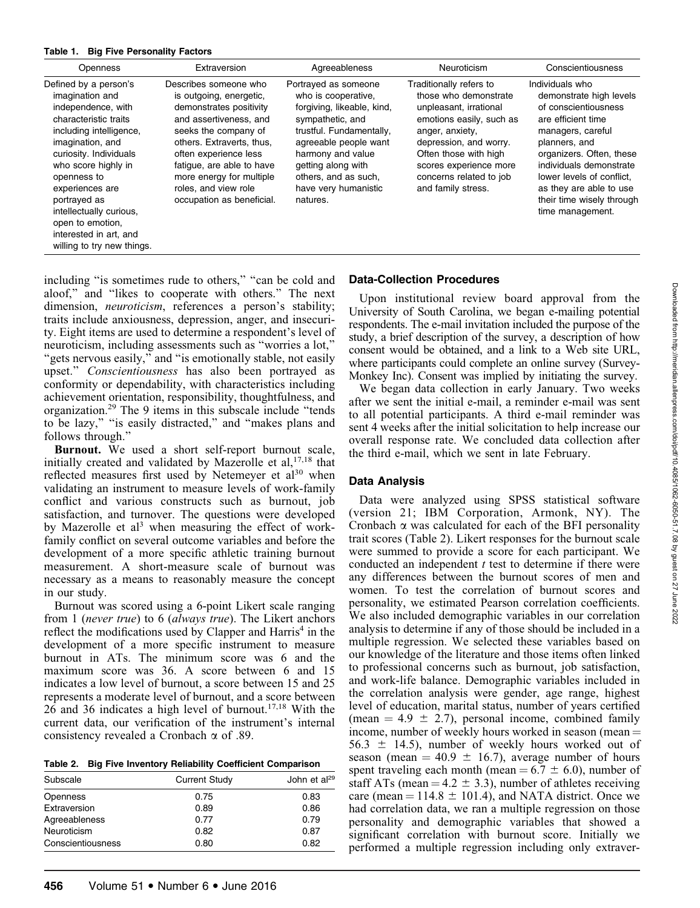#### Table 1. Big Five Personality Factors

| <b>Openness</b>                                                                                                                                                                                                                                                                                                                                  | Extraversion                                                                                                                                                                                                                                                                                      | Agreeableness                                                                                                                                                                                                                                             | Neuroticism                                                                                                                                                                                                                                             | Conscientiousness                                                                                                                                                                                                                                                                              |
|--------------------------------------------------------------------------------------------------------------------------------------------------------------------------------------------------------------------------------------------------------------------------------------------------------------------------------------------------|---------------------------------------------------------------------------------------------------------------------------------------------------------------------------------------------------------------------------------------------------------------------------------------------------|-----------------------------------------------------------------------------------------------------------------------------------------------------------------------------------------------------------------------------------------------------------|---------------------------------------------------------------------------------------------------------------------------------------------------------------------------------------------------------------------------------------------------------|------------------------------------------------------------------------------------------------------------------------------------------------------------------------------------------------------------------------------------------------------------------------------------------------|
| Defined by a person's<br>imagination and<br>independence, with<br>characteristic traits<br>including intelligence,<br>imagination, and<br>curiosity. Individuals<br>who score highly in<br>openness to<br>experiences are<br>portrayed as<br>intellectually curious,<br>open to emotion,<br>interested in art, and<br>willing to try new things. | Describes someone who<br>is outgoing, energetic,<br>demonstrates positivity<br>and assertiveness, and<br>seeks the company of<br>others. Extraverts, thus,<br>often experience less<br>fatique, are able to have<br>more energy for multiple<br>roles, and view role<br>occupation as beneficial. | Portrayed as someone<br>who is cooperative.<br>forgiving, likeable, kind,<br>sympathetic, and<br>trustful. Fundamentally,<br>agreeable people want<br>harmony and value<br>getting along with<br>others, and as such,<br>have very humanistic<br>natures. | Traditionally refers to<br>those who demonstrate<br>unpleasant, irrational<br>emotions easily, such as<br>anger, anxiety,<br>depression, and worry.<br>Often those with high<br>scores experience more<br>concerns related to job<br>and family stress. | Individuals who<br>demonstrate high levels<br>of conscientiousness<br>are efficient time<br>managers, careful<br>planners, and<br>organizers. Often, these<br>individuals demonstrate<br>lower levels of conflict,<br>as they are able to use<br>their time wisely through<br>time management. |

including "is sometimes rude to others," "can be cold and aloof,'' and ''likes to cooperate with others.'' The next dimension, *neuroticism*, references a person's stability; traits include anxiousness, depression, anger, and insecurity. Eight items are used to determine a respondent's level of neuroticism, including assessments such as ''worries a lot,'' "gets nervous easily," and "is emotionally stable, not easily upset.'' Conscientiousness has also been portrayed as conformity or dependability, with characteristics including achievement orientation, responsibility, thoughtfulness, and organization.29 The 9 items in this subscale include ''tends to be lazy,'' ''is easily distracted,'' and ''makes plans and follows through.''

Burnout. We used a short self-report burnout scale, initially created and validated by Mazerolle et  $al$ ,  $17,18$  that reflected measures first used by Netemeyer et al<sup>30</sup> when validating an instrument to measure levels of work-family conflict and various constructs such as burnout, job satisfaction, and turnover. The questions were developed by Mazerolle et  $a^{3}$  when measuring the effect of workfamily conflict on several outcome variables and before the development of a more specific athletic training burnout measurement. A short-measure scale of burnout was necessary as a means to reasonably measure the concept in our study.

Burnout was scored using a 6-point Likert scale ranging from 1 (never true) to 6 (always true). The Likert anchors reflect the modifications used by Clapper and Harris<sup>4</sup> in the development of a more specific instrument to measure burnout in ATs. The minimum score was 6 and the maximum score was 36. A score between 6 and 15 indicates a low level of burnout, a score between 15 and 25 represents a moderate level of burnout, and a score between 26 and 36 indicates a high level of burnout.17,18 With the current data, our verification of the instrument's internal consistency revealed a Cronbach  $\alpha$  of .89.

| Table 2. Big Five Inventory Reliability Coefficient Comparison |  |  |
|----------------------------------------------------------------|--|--|
|                                                                |  |  |

| Subscale          | <b>Current Study</b> | John et al <sup>29</sup> |  |
|-------------------|----------------------|--------------------------|--|
| Openness          | 0.75                 | 0.83                     |  |
| Extraversion      | 0.89                 | 0.86                     |  |
| Agreeableness     | 0.77                 | 0.79                     |  |
| Neuroticism       | 0.82                 | 0.87                     |  |
| Conscientiousness | 0.80                 | 0.82                     |  |

### Data-Collection Procedures

Upon institutional review board approval from the University of South Carolina, we began e-mailing potential respondents. The e-mail invitation included the purpose of the study, a brief description of the survey, a description of how consent would be obtained, and a link to a Web site URL, where participants could complete an online survey (Survey-Monkey Inc). Consent was implied by initiating the survey.

We began data collection in early January. Two weeks after we sent the initial e-mail, a reminder e-mail was sent to all potential participants. A third e-mail reminder was sent 4 weeks after the initial solicitation to help increase our overall response rate. We concluded data collection after the third e-mail, which we sent in late February.

#### Data Analysis

Data were analyzed using SPSS statistical software (version 21; IBM Corporation, Armonk, NY). The Cronbach  $\alpha$  was calculated for each of the BFI personality trait scores (Table 2). Likert responses for the burnout scale were summed to provide a score for each participant. We conducted an independent  $t$  test to determine if there were any differences between the burnout scores of men and women. To test the correlation of burnout scores and personality, we estimated Pearson correlation coefficients. We also included demographic variables in our correlation analysis to determine if any of those should be included in a multiple regression. We selected these variables based on our knowledge of the literature and those items often linked to professional concerns such as burnout, job satisfaction, and work-life balance. Demographic variables included in the correlation analysis were gender, age range, highest level of education, marital status, number of years certified (mean  $= 4.9 \pm 2.7$ ), personal income, combined family income, number of weekly hours worked in season (mean  $=$  $56.3 \pm 14.5$ ), number of weekly hours worked out of season (mean  $= 40.9 \pm 16.7$ ), average number of hours spent traveling each month (mean  $= 6.7 \pm 6.0$ ), number of staff ATs (mean  $= 4.2 \pm 3.3$ ), number of athletes receiving care (mean  $= 114.8 \pm 101.4$ ), and NATA district. Once we had correlation data, we ran a multiple regression on those personality and demographic variables that showed a significant correlation with burnout score. Initially we performed a multiple regression including only extraver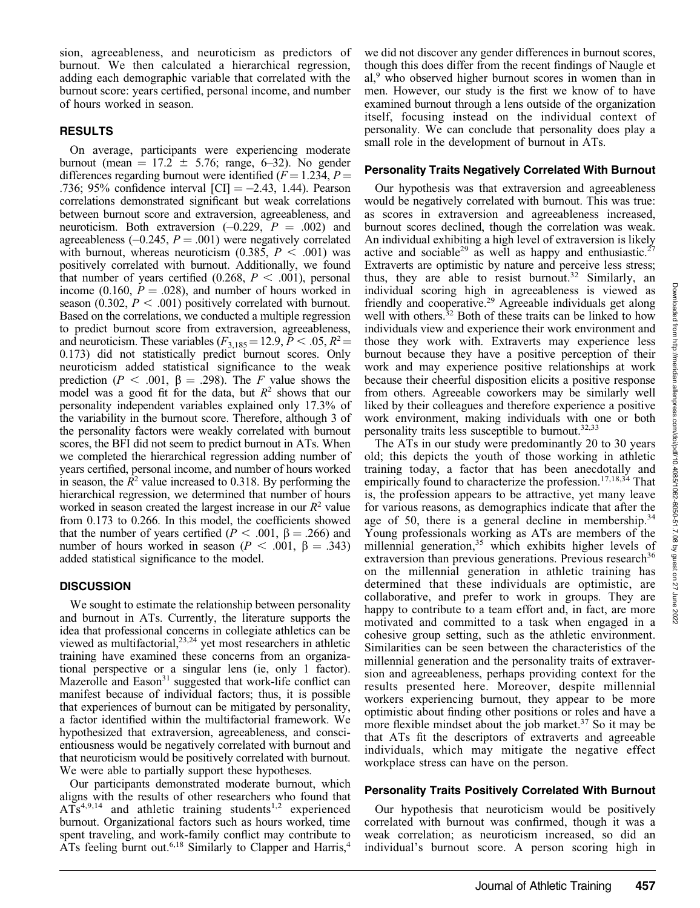sion, agreeableness, and neuroticism as predictors of burnout. We then calculated a hierarchical regression, adding each demographic variable that correlated with the burnout score: years certified, personal income, and number of hours worked in season.

#### RESULTS

On average, participants were experiencing moderate burnout (mean  $= 17.2 \pm 5.76$ ; range, 6–32). No gender differences regarding burnout were identified ( $F = 1.234$ ,  $P =$ .736; 95% confidence interval  $\text{[CI]} = -2.43, 1.44$ ). Pearson correlations demonstrated significant but weak correlations between burnout score and extraversion, agreeableness, and neuroticism. Both extraversion  $(-0.229, P = .002)$  and agreeableness  $(-0.245, P = .001)$  were negatively correlated with burnout, whereas neuroticism  $(0.385, P < .001)$  was positively correlated with burnout. Additionally, we found that number of years certified (0.268,  $P < .001$ ), personal income (0.160,  $P = .028$ ), and number of hours worked in season (0.302,  $P < .001$ ) positively correlated with burnout. Based on the correlations, we conducted a multiple regression to predict burnout score from extraversion, agreeableness, and neuroticism. These variables ( $F_{3,185} = 12.9, P < .05, R^2 =$ 0.173) did not statistically predict burnout scores. Only neuroticism added statistical significance to the weak prediction ( $P < .001$ ,  $\beta = .298$ ). The F value shows the model was a good fit for the data, but  $R^2$  shows that our personality independent variables explained only 17.3% of the variability in the burnout score. Therefore, although 3 of the personality factors were weakly correlated with burnout scores, the BFI did not seem to predict burnout in ATs. When we completed the hierarchical regression adding number of years certified, personal income, and number of hours worked in season, the  $R^2$  value increased to 0.318. By performing the hierarchical regression, we determined that number of hours worked in season created the largest increase in our  $R<sup>2</sup>$  value from 0.173 to 0.266. In this model, the coefficients showed that the number of years certified ( $P < .001$ ,  $\beta = .266$ ) and number of hours worked in season ( $P < .001$ ,  $\beta = .343$ ) added statistical significance to the model.

#### **DISCUSSION**

We sought to estimate the relationship between personality and burnout in ATs. Currently, the literature supports the idea that professional concerns in collegiate athletics can be viewed as multifactorial,<sup>23,24</sup> yet most researchers in athletic training have examined these concerns from an organizational perspective or a singular lens (ie, only 1 factor). Mazerolle and  $Eason<sup>31</sup> suggested that work-life conflict can$ manifest because of individual factors; thus, it is possible that experiences of burnout can be mitigated by personality, a factor identified within the multifactorial framework. We hypothesized that extraversion, agreeableness, and conscientiousness would be negatively correlated with burnout and that neuroticism would be positively correlated with burnout. We were able to partially support these hypotheses.

Our participants demonstrated moderate burnout, which aligns with the results of other researchers who found that  $ATs<sup>4,9,14</sup>$  and athletic training students<sup>1,2</sup> experienced burnout. Organizational factors such as hours worked, time spent traveling, and work-family conflict may contribute to ATs feeling burnt out.<sup>6,18</sup> Similarly to Clapper and Harris,<sup>4</sup>

we did not discover any gender differences in burnout scores, though this does differ from the recent findings of Naugle et al,<sup>9</sup> who observed higher burnout scores in women than in men. However, our study is the first we know of to have examined burnout through a lens outside of the organization itself, focusing instead on the individual context of personality. We can conclude that personality does play a small role in the development of burnout in ATs.

#### Personality Traits Negatively Correlated With Burnout

Our hypothesis was that extraversion and agreeableness would be negatively correlated with burnout. This was true: as scores in extraversion and agreeableness increased, burnout scores declined, though the correlation was weak. An individual exhibiting a high level of extraversion is likely active and sociable<sup>29</sup> as well as happy and enthusiastic.<sup>2</sup> Extraverts are optimistic by nature and perceive less stress; thus, they are able to resist burnout.<sup>32</sup> Similarly, an individual scoring high in agreeableness is viewed as friendly and cooperative.<sup>29</sup> Agreeable individuals get along well with others.<sup>32</sup> Both of these traits can be linked to how individuals view and experience their work environment and those they work with. Extraverts may experience less burnout because they have a positive perception of their work and may experience positive relationships at work because their cheerful disposition elicits a positive response from others. Agreeable coworkers may be similarly well liked by their colleagues and therefore experience a positive work environment, making individuals with one or both personality traits less susceptible to burnout.<sup>32,33</sup>

The ATs in our study were predominantly 20 to 30 years old; this depicts the youth of those working in athletic training today, a factor that has been anecdotally and empirically found to characterize the profession.<sup>17,18,34</sup> That is, the profession appears to be attractive, yet many leave for various reasons, as demographics indicate that after the age of 50, there is a general decline in membership.<sup>34</sup> Young professionals working as ATs are members of the millennial generation,<sup>35</sup> which exhibits higher levels of extraversion than previous generations. Previous research<sup>36</sup> on the millennial generation in athletic training has determined that these individuals are optimistic, are collaborative, and prefer to work in groups. They are happy to contribute to a team effort and, in fact, are more motivated and committed to a task when engaged in a cohesive group setting, such as the athletic environment. Similarities can be seen between the characteristics of the millennial generation and the personality traits of extraversion and agreeableness, perhaps providing context for the results presented here. Moreover, despite millennial workers experiencing burnout, they appear to be more optimistic about finding other positions or roles and have a more flexible mindset about the job market.<sup>37</sup> So it may be that ATs fit the descriptors of extraverts and agreeable individuals, which may mitigate the negative effect workplace stress can have on the person.

#### Personality Traits Positively Correlated With Burnout

Our hypothesis that neuroticism would be positively correlated with burnout was confirmed, though it was a weak correlation; as neuroticism increased, so did an individual's burnout score. A person scoring high in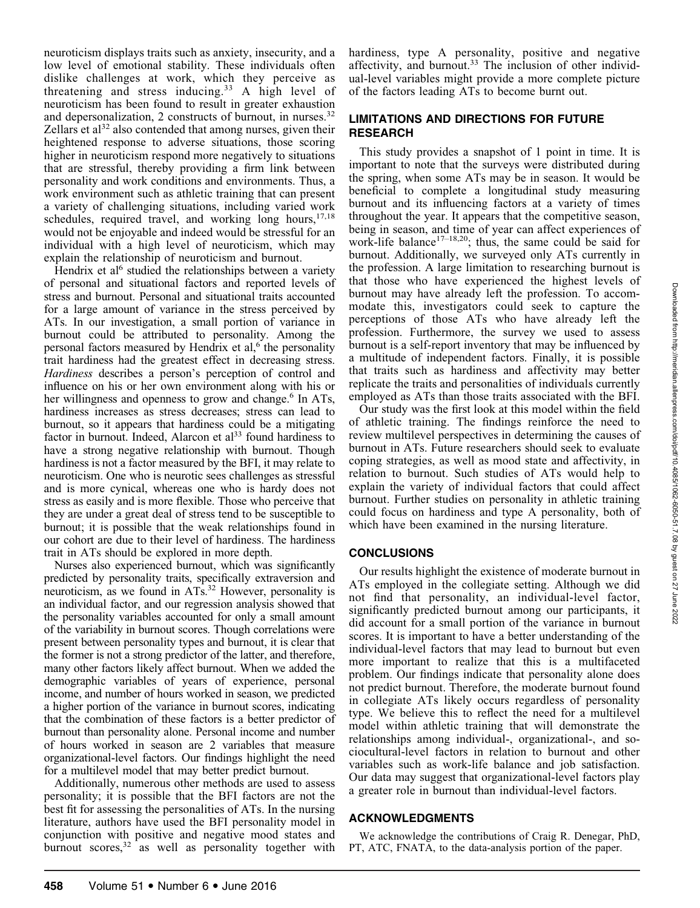neuroticism displays traits such as anxiety, insecurity, and a low level of emotional stability. These individuals often dislike challenges at work, which they perceive as threatening and stress inducing.<sup>33</sup> A high level of neuroticism has been found to result in greater exhaustion and depersonalization, 2 constructs of burnout, in nurses.<sup>32</sup> Zellars et al<sup>32</sup> also contended that among nurses, given their heightened response to adverse situations, those scoring higher in neuroticism respond more negatively to situations that are stressful, thereby providing a firm link between personality and work conditions and environments. Thus, a work environment such as athletic training that can present a variety of challenging situations, including varied work schedules, required travel, and working long hours, $17,18$ would not be enjoyable and indeed would be stressful for an individual with a high level of neuroticism, which may explain the relationship of neuroticism and burnout.

Hendrix et al<sup>6</sup> studied the relationships between a variety of personal and situational factors and reported levels of stress and burnout. Personal and situational traits accounted for a large amount of variance in the stress perceived by ATs. In our investigation, a small portion of variance in burnout could be attributed to personality. Among the personal factors measured by Hendrix et al, $<sup>6</sup>$  the personality</sup> trait hardiness had the greatest effect in decreasing stress. Hardiness describes a person's perception of control and influence on his or her own environment along with his or her willingness and openness to grow and change.<sup>6</sup> In ATs, hardiness increases as stress decreases; stress can lead to burnout, so it appears that hardiness could be a mitigating factor in burnout. Indeed, Alarcon et  $a^{33}$  found hardiness to have a strong negative relationship with burnout. Though hardiness is not a factor measured by the BFI, it may relate to neuroticism. One who is neurotic sees challenges as stressful and is more cynical, whereas one who is hardy does not stress as easily and is more flexible. Those who perceive that they are under a great deal of stress tend to be susceptible to burnout; it is possible that the weak relationships found in our cohort are due to their level of hardiness. The hardiness trait in ATs should be explored in more depth.

Nurses also experienced burnout, which was significantly predicted by personality traits, specifically extraversion and neuroticism, as we found in ATs.32 However, personality is an individual factor, and our regression analysis showed that the personality variables accounted for only a small amount of the variability in burnout scores. Though correlations were present between personality types and burnout, it is clear that the former is not a strong predictor of the latter, and therefore, many other factors likely affect burnout. When we added the demographic variables of years of experience, personal income, and number of hours worked in season, we predicted a higher portion of the variance in burnout scores, indicating that the combination of these factors is a better predictor of burnout than personality alone. Personal income and number of hours worked in season are 2 variables that measure organizational-level factors. Our findings highlight the need for a multilevel model that may better predict burnout.

Additionally, numerous other methods are used to assess personality; it is possible that the BFI factors are not the best fit for assessing the personalities of ATs. In the nursing literature, authors have used the BFI personality model in conjunction with positive and negative mood states and burnout scores, $3^2$  as well as personality together with

hardiness, type A personality, positive and negative affectivity, and burnout.<sup>33</sup> The inclusion of other individual-level variables might provide a more complete picture of the factors leading ATs to become burnt out.

#### LIMITATIONS AND DIRECTIONS FOR FUTURE RESEARCH

This study provides a snapshot of 1 point in time. It is important to note that the surveys were distributed during the spring, when some ATs may be in season. It would be beneficial to complete a longitudinal study measuring burnout and its influencing factors at a variety of times throughout the year. It appears that the competitive season, being in season, and time of year can affect experiences of work-life balance<sup>17-18,20</sup>; thus, the same could be said for burnout. Additionally, we surveyed only ATs currently in the profession. A large limitation to researching burnout is that those who have experienced the highest levels of burnout may have already left the profession. To accommodate this, investigators could seek to capture the perceptions of those ATs who have already left the profession. Furthermore, the survey we used to assess burnout is a self-report inventory that may be influenced by a multitude of independent factors. Finally, it is possible that traits such as hardiness and affectivity may better replicate the traits and personalities of individuals currently employed as ATs than those traits associated with the BFI.

Our study was the first look at this model within the field of athletic training. The findings reinforce the need to review multilevel perspectives in determining the causes of burnout in ATs. Future researchers should seek to evaluate coping strategies, as well as mood state and affectivity, in relation to burnout. Such studies of ATs would help to explain the variety of individual factors that could affect burnout. Further studies on personality in athletic training could focus on hardiness and type A personality, both of which have been examined in the nursing literature.

#### **CONCLUSIONS**

Our results highlight the existence of moderate burnout in ATs employed in the collegiate setting. Although we did not find that personality, an individual-level factor, significantly predicted burnout among our participants, it did account for a small portion of the variance in burnout scores. It is important to have a better understanding of the individual-level factors that may lead to burnout but even more important to realize that this is a multifaceted problem. Our findings indicate that personality alone does not predict burnout. Therefore, the moderate burnout found in collegiate ATs likely occurs regardless of personality type. We believe this to reflect the need for a multilevel model within athletic training that will demonstrate the relationships among individual-, organizational-, and sociocultural-level factors in relation to burnout and other variables such as work-life balance and job satisfaction. Our data may suggest that organizational-level factors play a greater role in burnout than individual-level factors.

#### ACKNOWLEDGMENTS

We acknowledge the contributions of Craig R. Denegar, PhD, PT, ATC, FNATA, to the data-analysis portion of the paper.